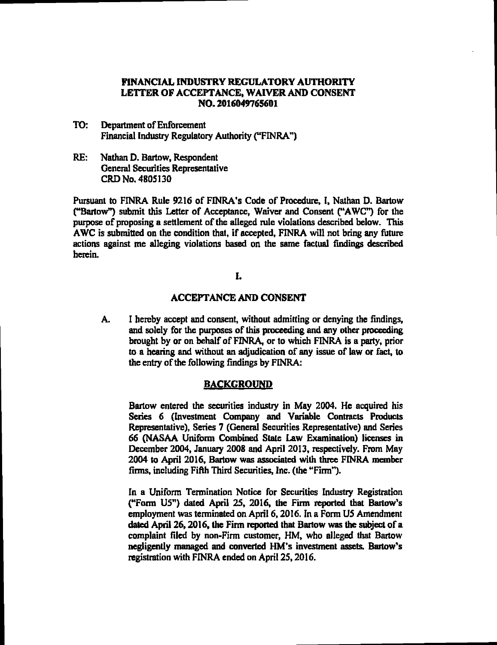# FINANCIAL INDUSTRY REGULATORY AUTHORITY LETTEROF ACCEPTANCE, WAIVERAND CONSENT NO. 2016049765601

- TO: Department of Enforcement Financial Industry Regulatory Authority ("FINRA")
- RE: Nathan D. Bartow, Respondent General Securities Represemative CRD No. 4805130

Pursuant to FINRA Rule 9216 of FINRA's Code of Procedure, I, Nathan D. Bartow ("Bartow") submit this Letter of Acceptance, Waiver and Consent ("AWC") for the purpose of proposing a settlement of the alleged rule violations described below. This AWC is submitted on the condition that, if accepted, FINRA will not bring any future actions against me alleging violations based on the same factual findings described herein.

### L

#### ACCEFrANCE AND CONSENT

A. I hereby accept and consent, without admitting or denying the findings, and solely for the purposes of this proceeding and any other proceeding brought by or on behalf of FINRA, or to which FINRA is a party, prior to a hearing and without an adjudication of any issue of law or fact, to the entry of the following findings by FINRA:

### BACKGROUND

Barlow entered the securities industry in May 2004. He acquired his Series 6 (Investment Company and Variable Contracts Products Representative), Series 7 (General Securities Representative) and Series 66 (NASAA Uniform Combined State Law Examination) licenses in December 2004, January 2008 and April 2013, respectively. From May 2004 to April 2016, Bartow was associated with three FINRA member firms, including Fifth Third Securities, Inc. (the "Firm").

In a Uniform Termination Notice for Securities Industry Registration (''Form U5?) dated April 25, 2016, the Firm reported that Barlow's employment was terminated on April 6,2016. In a Form U5 Amendment dated April 26,2016, the Firm reported that Bartow was the subject of a complaint filed by non-Firm customer, HM, who alleged that Bartow negligently managed and converted HM's investment assets. Barlow's registration with FINRA ended on April 25,2016.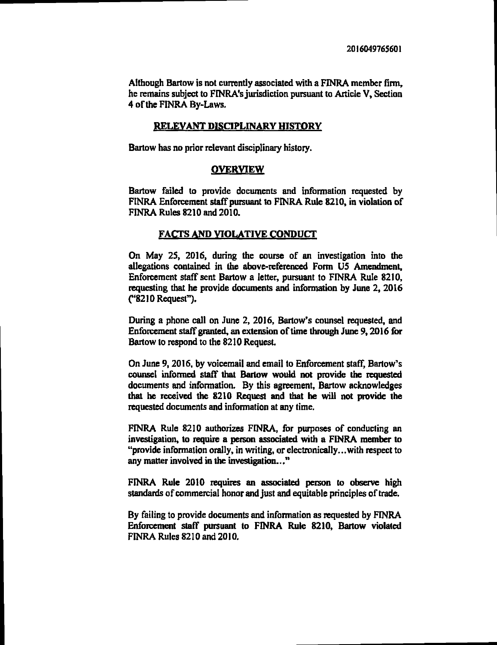Although Bartow is not currently associated with a FINRA member firm, he remains subject to FINRA's jurisdiction pursuant to Article V, Section 4 ofthe FINRA By-Laws.

# RELEVANT DISCIPLINARY HISTORY

Barlow has no prior relevant disciplinary history.

### **OVERVIEW**

Bartow failed to provide documents and information requested by FINRA Enforcement staff pursuant to FINRA Rule 8210, in violation of FINRA Rules 8210 and 2010.

# FACTS AND VIOLATIVE CONDUCT

On May 25, 2016, during the course of an investigation into the allegations contained in the above-referenced Form U5 Amendment, Enforcement staff sent Bartow a letter, pursuant to FINRA Rule 8210, requesting that he provide documents and information by June 2, 2016 (''8210 Request").

During a phone call on June 2, 2016, Bartow's counsel requested, and Enforcement staff granted, an extension of time through June 9, 2016 for Bartow to respond to the 8210 Request.

On June 9,2016, by voicemail and email to Enforcement staff, Bartow's counsel informed staff' that Barlow would not provide the requested documents and information. By this agreement, Bartow acknowledges that he received the 8210 Request and that he will not provide the requested documents and information at any time.

FINRA Rule 8210 authorizes FINRA, for purposes of conducting an investigation, to require a person associated with a FINRA member to "provide information orally. in writing, or electronically...with respect to any matter involved in the investigation..."

FINRA Rule 2010 requires an associated person to observe high standards of commercial honor and just and equitable principles of trade.

By failing to provide documents and information as requested by FrNRA Enforcement staff pursuant to FINRA Rule 8210, Bartow violated FINRA Rules 8210 and 2010.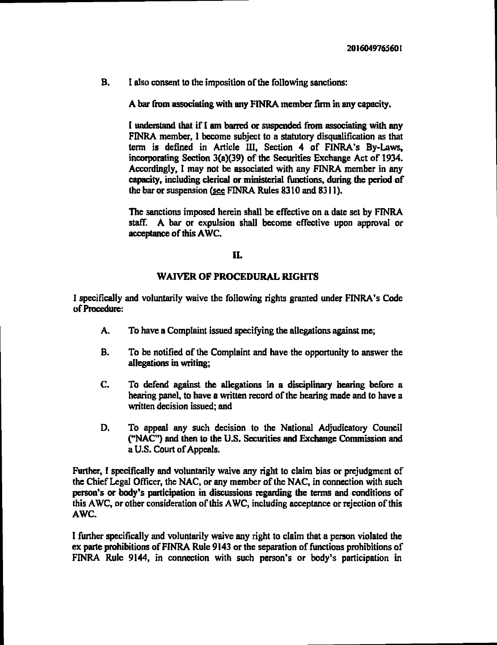B. I also consent to the imposition of the following sanctions:

A bar from associating with any FINRA member firm in any capacity.

I understand that if I am barrcd or suspended from associating with any FINRA member, I become subject to a statutory disqualification as that term is defined in Article IH, Section 4 of FINRA's By-Laws, incorporating Section 3(a)(39) of the Securities Exchange Act of 1934. Accordingly, I may not be associated with any FINRA member in any capacity, including clerical or ministerial functions, during the period of the bar or suspension (see FINRA Rules  $8310$  and  $8311$ ).

The sanctions imposed herein shall be effective on a date set by FINRA staff. A bar or expulsion shall become effective upon approval or acceptance of this AWC.

# KL

### WAIVER OF PROCEDURAL RIGHTS

I specifically and voluntarily waive the following rights granted under FINRA's Code ofProcedure:

- A. To have a Complaint issued specifying the allegations against me;
- B. To be notified of the Complaint and have the opportunity to answer the allegations in writing;
- C. To defend against the allegations in a disciplinary hearing before a hearing panel, to have a written record of the hearing made and to have a written decision issued; and
- D. To appeal any such decision to the National Adjudicatory Council ('NAC") and then to the U.S. Securities and Exchange Commission and a U.S. Court of Appeals.

Further, I specifically and voluntarily waive any right to claim bias or prejudgment of the Chief Legal Officer, the NAC, or any member of the NAC, in connection with such person's or body's participation in discussions regarding the terms and conditions of this AWC, or other consideration of this AWC, including acceptance or rejection of this AWC.

I further specifically and voluntarily waive any right to claim that <sup>a</sup> person violated the ex parte prohibitions of FINRA Rule 9143 or the separation of functions prohibitions of FINRA Rule 9144, in connection with such person's or body's participation in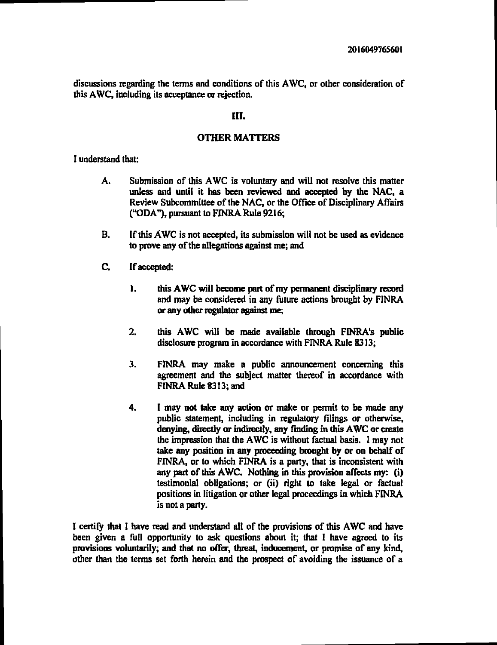discussions rcgarding the terms and conditions of this AWC, or other consideration of this AWC, including its acceptance or rejection.

### III.

### **OTHER MATTERS**

I understand that:

- A. Submission of this AWC is voluntary and will not resolve this matter unless and until it has been reviewed and accepted by the NAC, a Review Subcommittee of the NAC, or the Office of Disciplinary Affairs ('?ODA"), pursuant to FINRA Rule 9216;
- B. If this AWC is not accepted, its submission will not be used as evidence to prove any of the allegations against me; and
- C. Ifaccepted:
	- 1. this AWC will become part of my permanent disciplinary record and may be considered in any future actions brought by FINRA or any other regulator against me;
	- 2. this AWC will be made available through FINRA's public disclosure program in accordance with FINRA Rule 8313;
	- 3. FINRA may make <sup>a</sup> public announcement concerning this agreement and the subject matter thereof in accordance with FINRA Rule 8313; and
	- 4. I may not take any action or make or permit to be made any public statement, including in regulatory filings or otherwise, denying, directly or indirectly, any finding in thisAWC or create the impression that the AWC is without factual basis. I may not take any position in any proceeding brought by or on behalf of FINRA or to which FINRA is a party, that is inconsistent with any part of this AWC. Nothing in this provision affects my: (i) testimonial obligations; or (ii) right to take legal or factual positions in litigation or other legal proceedings in which FINRA is not a party.

I certify that I have read and understand all of the provisions of this AWC and have been given a full opportunity to ask questions about it; that I have agreed to its provisions voluntarily; and that no offer, threat, induccment, or promise of any kind, other than the terms set forth herein and the prospect of avoiding the issuance of a